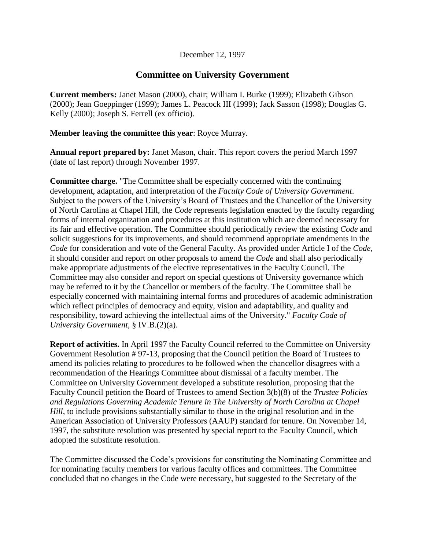## December 12, 1997

## **Committee on University Government**

**Current members:** Janet Mason (2000), chair; William I. Burke (1999); Elizabeth Gibson (2000); Jean Goeppinger (1999); James L. Peacock III (1999); Jack Sasson (1998); Douglas G. Kelly (2000); Joseph S. Ferrell (ex officio).

## **Member leaving the committee this year**: Royce Murray.

**Annual report prepared by:** Janet Mason, chair. This report covers the period March 1997 (date of last report) through November 1997.

**Committee charge.** "The Committee shall be especially concerned with the continuing development, adaptation, and interpretation of the *Faculty Code of University Government*. Subject to the powers of the University's Board of Trustees and the Chancellor of the University of North Carolina at Chapel Hill, the *Code* represents legislation enacted by the faculty regarding forms of internal organization and procedures at this institution which are deemed necessary for its fair and effective operation. The Committee should periodically review the existing *Code* and solicit suggestions for its improvements, and should recommend appropriate amendments in the *Code* for consideration and vote of the General Faculty. As provided under Article I of the *Code*, it should consider and report on other proposals to amend the *Code* and shall also periodically make appropriate adjustments of the elective representatives in the Faculty Council. The Committee may also consider and report on special questions of University governance which may be referred to it by the Chancellor or members of the faculty. The Committee shall be especially concerned with maintaining internal forms and procedures of academic administration which reflect principles of democracy and equity, vision and adaptability, and quality and responsibility, toward achieving the intellectual aims of the University." *Faculty Code of University Government*, § IV.B.(2)(a).

**Report of activities.** In April 1997 the Faculty Council referred to the Committee on University Government Resolution # 97-13, proposing that the Council petition the Board of Trustees to amend its policies relating to procedures to be followed when the chancellor disagrees with a recommendation of the Hearings Committee about dismissal of a faculty member. The Committee on University Government developed a substitute resolution, proposing that the Faculty Council petition the Board of Trustees to amend Section 3(b)(8) of the *Trustee Policies and Regulations Governing Academic Tenure in The University of North Carolina at Chapel Hill*, to include provisions substantially similar to those in the original resolution and in the American Association of University Professors (AAUP) standard for tenure. On November 14, 1997, the substitute resolution was presented by special report to the Faculty Council, which adopted the substitute resolution.

The Committee discussed the Code's provisions for constituting the Nominating Committee and for nominating faculty members for various faculty offices and committees. The Committee concluded that no changes in the Code were necessary, but suggested to the Secretary of the